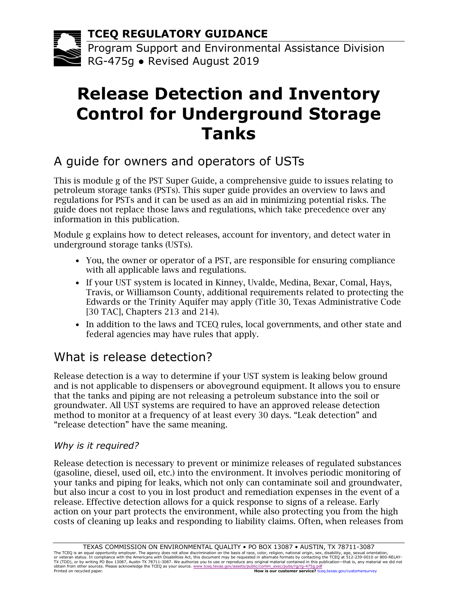**TCEQ REGULATORY GUIDANCE**

Program Support and Environmental Assistance Division RG-475g ● Revised August 2019

# **Release Detection and Inventory Control for Underground Storage Tanks**

# A guide for owners and operators of USTs

This is module g of the PST Super Guide, a comprehensive guide to issues relating to petroleum storage tanks (PSTs). This super guide provides an overview to laws and regulations for PSTs and it can be used as an aid in minimizing potential risks. The guide does not replace those laws and regulations, which take precedence over any information in this publication.

Module g explains how to detect releases, account for inventory, and detect water in underground storage tanks (USTs).

- You, the owner or operator of a PST, are responsible for ensuring compliance with all applicable laws and regulations.
- If your UST system is located in Kinney, Uvalde, Medina, Bexar, Comal, Hays, Travis, or Williamson County, additional requirements related to protecting the Edwards or the Trinity Aquifer may apply (Title 30, Texas Administrative Code [30 TAC], Chapters 213 and 214).
- In addition to the laws and TCEQ rules, local governments, and other state and federal agencies may have rules that apply.

# What is release detection?

Release detection is a way to determine if your UST system is leaking below ground and is not applicable to dispensers or aboveground equipment. It allows you to ensure that the tanks and piping are not releasing a petroleum substance into the soil or groundwater. All UST systems are required to have an approved release detection method to monitor at a frequency of at least every 30 days. "Leak detection" and "release detection" have the same meaning.

### *Why is it required?*

Release detection is necessary to prevent or minimize releases of regulated substances (gasoline, diesel, used oil, etc.) into the environment. It involves periodic monitoring of your tanks and piping for leaks, which not only can contaminate soil and groundwater, but also incur a cost to you in lost product and remediation expenses in the event of a release. Effective detection allows for a quick response to signs of a release. Early action on your part protects the environment, while also protecting you from the high costs of cleaning up leaks and responding to liability claims. Often, when releases from

TEXAS COMMISSION ON ENVIRONMENTAL QUALITY • PO BOX 13087 • AUSTIN, TX 78711-3087<br>The TCEQ is an equal opportunity employer. The agency does not allow discrimination on the basis of race, color, religion, national origin, s or veteran status. In compliance with the Americans with Disabilities Act, this document may be requested in alternate formats by contacting the TCEQ at 512-239-0010 or 800-RELAY-<br>TX (TDD), or by writing PO Box 13087, Aust Printed on recycled paper. **How is our customer service?** [tceq.texas.gov/customersurvey](http://tceq.texas.gov/goto/customersurvey)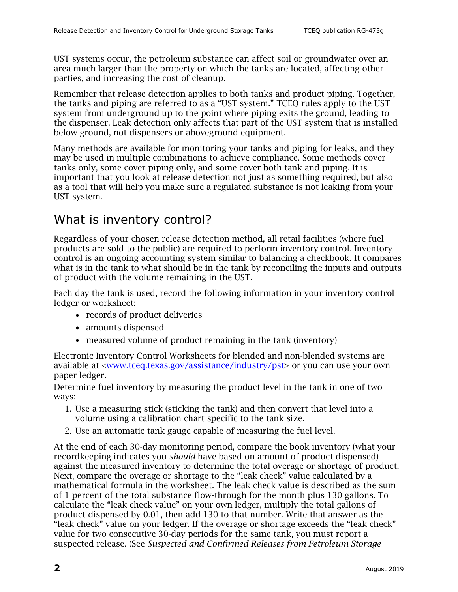UST systems occur, the petroleum substance can affect soil or groundwater over an area much larger than the property on which the tanks are located, affecting other parties, and increasing the cost of cleanup.

Remember that release detection applies to both tanks and product piping. Together, the tanks and piping are referred to as a "UST system." TCEQ rules apply to the UST system from underground up to the point where piping exits the ground, leading to the dispenser. Leak detection only affects that part of the UST system that is installed below ground, not dispensers or aboveground equipment.

Many methods are available for monitoring your tanks and piping for leaks, and they may be used in multiple combinations to achieve compliance. Some methods cover tanks only, some cover piping only, and some cover both tank and piping. It is important that you look at release detection not just as something required, but also as a tool that will help you make sure a regulated substance is not leaking from your UST system.

# What is inventory control?

Regardless of your chosen release detection method, all retail facilities (where fuel products are sold to the public) are required to perform inventory control. Inventory control is an ongoing accounting system similar to balancing a checkbook. It compares what is in the tank to what should be in the tank by reconciling the inputs and outputs of product with the volume remaining in the UST.

Each day the tank is used, record the following information in your inventory control ledger or worksheet:

- records of product deliveries
- amounts dispensed
- measured volume of product remaining in the tank (inventory)

Electronic Inventory Control Worksheets for blended and non-blended systems are available at [<www.tceq.texas.gov/assistance/industry/pst>](https://www.tceq.texas.gov/assistance/industry/pst) or you can use your own paper ledger.

Determine fuel inventory by measuring the product level in the tank in one of two ways:

- 1. Use a measuring stick (sticking the tank) and then convert that level into a volume using a calibration chart specific to the tank size.
- 2. Use an automatic tank gauge capable of measuring the fuel level.

At the end of each 30-day monitoring period, compare the book inventory (what your recordkeeping indicates you *should* have based on amount of product dispensed) against the measured inventory to determine the total overage or shortage of product. Next, compare the overage or shortage to the "leak check" value calculated by a mathematical formula in the worksheet. The leak check value is described as the sum of 1 percent of the total substance flow-through for the month plus 130 gallons. To calculate the "leak check value" on your own ledger, multiply the total gallons of product dispensed by 0.01, then add 130 to that number. Write that answer as the "leak check" value on your ledger. If the overage or shortage exceeds the "leak check" value for two consecutive 30-day periods for the same tank, you must report a suspected release. (See *Suspected and Confirmed Releases from Petroleum Storage*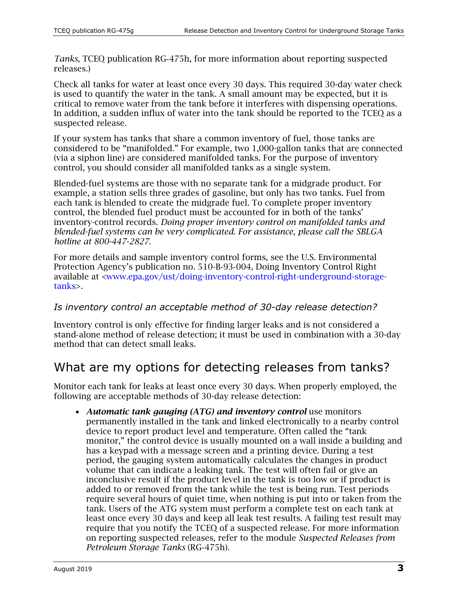*Tanks*, TCEQ publication RG‐475h, for more information about reporting suspected releases.)

Check all tanks for water at least once every 30 days. This required 30-day water check is used to quantify the water in the tank. A small amount may be expected, but it is critical to remove water from the tank before it interferes with dispensing operations. In addition, a sudden influx of water into the tank should be reported to the TCEQ as a suspected release.

If your system has tanks that share a common inventory of fuel, those tanks are considered to be "manifolded." For example, two 1,000-gallon tanks that are connected (via a siphon line) are considered manifolded tanks. For the purpose of inventory control, you should consider all manifolded tanks as a single system.

Blended-fuel systems are those with no separate tank for a midgrade product. For example, a station sells three grades of gasoline, but only has two tanks. Fuel from each tank is blended to create the midgrade fuel. To complete proper inventory control, the blended fuel product must be accounted for in both of the tanks' inventory-control records. *Doing proper inventory control on manifolded tanks and blended-fuel systems can be very complicated. For assistance, please call the SBLGA hotline at 800-447-2827.*

For more details and sample inventory control forms, see the U.S. Environmental Protection Agency's publication no. 510‐B‐93‐004, Doing Inventory Control Right available at [<www.epa.gov/ust/doing-inventory-control-right-underground-storage](https://www.epa.gov/ust/doing-inventory-control-right-underground-storage-tanks)[tanks>](https://www.epa.gov/ust/doing-inventory-control-right-underground-storage-tanks).

### *Is inventory control an acceptable method of 30-day release detection?*

Inventory control is only effective for finding larger leaks and is not considered a stand‐alone method of release detection; it must be used in combination with a 30-day method that can detect small leaks.

# What are my options for detecting releases from tanks?

Monitor each tank for leaks at least once every 30 days. When properly employed, the following are acceptable methods of 30-day release detection:

• *Automatic tank gauging (ATG) and inventory control* use monitors permanently installed in the tank and linked electronically to a nearby control device to report product level and temperature. Often called the "tank monitor," the control device is usually mounted on a wall inside a building and has a keypad with a message screen and a printing device. During a test period, the gauging system automatically calculates the changes in product volume that can indicate a leaking tank. The test will often fail or give an inconclusive result if the product level in the tank is too low or if product is added to or removed from the tank while the test is being run. Test periods require several hours of quiet time, when nothing is put into or taken from the tank. Users of the ATG system must perform a complete test on each tank at least once every 30 days and keep all leak test results. A failing test result may require that you notify the TCEQ of a suspected release. For more information on reporting suspected releases, refer to the module *Suspected Releases from Petroleum Storage Tanks* (RG‐475h).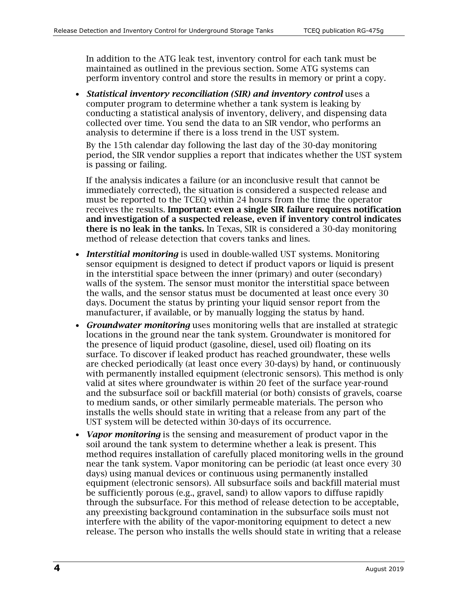In addition to the ATG leak test, inventory control for each tank must be maintained as outlined in the previous section. Some ATG systems can perform inventory control and store the results in memory or print a copy.

• *Statistical inventory reconciliation (SIR) and inventory control* uses a computer program to determine whether a tank system is leaking by conducting a statistical analysis of inventory, delivery, and dispensing data collected over time. You send the data to an SIR vendor, who performs an analysis to determine if there is a loss trend in the UST system.

By the 15th calendar day following the last day of the 30-day monitoring period, the SIR vendor supplies a report that indicates whether the UST system is passing or failing.

If the analysis indicates a failure (or an inconclusive result that cannot be immediately corrected), the situation is considered a suspected release and must be reported to the TCEQ within 24 hours from the time the operator receives the results. Important: even a single SIR failure requires notification and investigation of a suspected release, even if inventory control indicates there is no leak in the tanks. In Texas, SIR is considered a 30-day monitoring method of release detection that covers tanks and lines.

- *Interstitial monitoring* is used in double-walled UST systems. Monitoring sensor equipment is designed to detect if product vapors or liquid is present in the interstitial space between the inner (primary) and outer (secondary) walls of the system. The sensor must monitor the interstitial space between the walls, and the sensor status must be documented at least once every 30 days. Document the status by printing your liquid sensor report from the manufacturer, if available, or by manually logging the status by hand.
- *Groundwater monitoring* uses monitoring wells that are installed at strategic locations in the ground near the tank system. Groundwater is monitored for the presence of liquid product (gasoline, diesel, used oil) floating on its surface. To discover if leaked product has reached groundwater, these wells are checked periodically (at least once every 30-days) by hand, or continuously with permanently installed equipment (electronic sensors). This method is only valid at sites where groundwater is within 20 feet of the surface year-round and the subsurface soil or backfill material (or both) consists of gravels, coarse to medium sands, or other similarly permeable materials. The person who installs the wells should state in writing that a release from any part of the UST system will be detected within 30-days of its occurrence.
- *Vapor monitoring* is the sensing and measurement of product vapor in the soil around the tank system to determine whether a leak is present. This method requires installation of carefully placed monitoring wells in the ground near the tank system. Vapor monitoring can be periodic (at least once every 30 days) using manual devices or continuous using permanently installed equipment (electronic sensors). All subsurface soils and backfill material must be sufficiently porous (e.g., gravel, sand) to allow vapors to diffuse rapidly through the subsurface. For this method of release detection to be acceptable, any preexisting background contamination in the subsurface soils must not interfere with the ability of the vapor-monitoring equipment to detect a new release. The person who installs the wells should state in writing that a release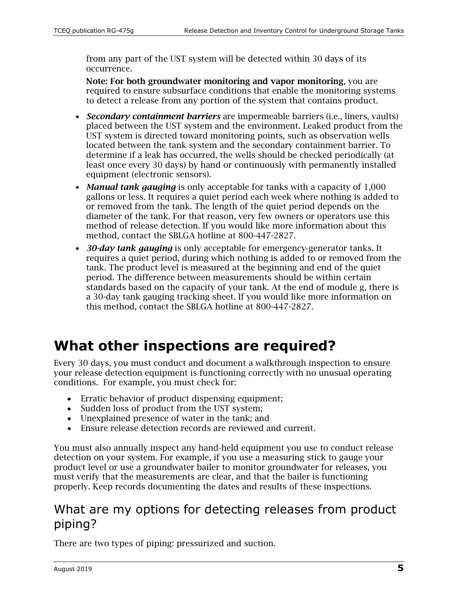from any part of the UST system will be detected within 30 days of its occurrence.

Note: For both groundwater monitoring and vapor monitoring, you are required to ensure subsurface conditions that enable the monitoring systems to detect a release from any portion of the system that contains product.

- *Secondary containment barriers* are impermeable barriers (i.e., liners, vaults) placed between the UST system and the environment. Leaked product from the UST system is directed toward monitoring points, such as observation wells located between the tank system and the secondary containment barrier. To determine if a leak has occurred, the wells should be checked periodically (at least once every 30 days) by hand or continuously with permanently installed equipment (electronic sensors).
- *Manual tank gauging* is only acceptable for tanks with a capacity of 1,000 gallons or less. It requires a quiet period each week where nothing is added to or removed from the tank. The length of the quiet period depends on the diameter of the tank. For that reason, very few owners or operators use this method of release detection. If you would like more information about this method, contact the SBLGA hotline at 800-447-2827.
- *30-day tank gauging* is only acceptable for emergency‐generator tanks. It requires a quiet period, during which nothing is added to or removed from the tank. The product level is measured at the beginning and end of the quiet period. The difference between measurements should be within certain standards based on the capacity of your tank. At the end of module g, there is a 30-day tank gauging tracking sheet. If you would like more information on this method, contact the SBLGA hotline at 800-447-2827.

# **What other inspections are required?**

Every 30 days, you must conduct and document a walkthrough inspection to ensure your release detection equipment is functioning correctly with no unusual operating conditions. For example, you must check for:

- Erratic behavior of product dispensing equipment;
- Sudden loss of product from the UST system;
- Unexplained presence of water in the tank; and
- Ensure release detection records are reviewed and current.

You must also annually inspect any hand-held equipment you use to conduct release detection on your system. For example, if you use a measuring stick to gauge your product level or use a groundwater bailer to monitor groundwater for releases, you must verify that the measurements are clear, and that the bailer is functioning properly. Keep records documenting the dates and results of these inspections.

### What are my options for detecting releases from product piping?

There are two types of piping: pressurized and suction.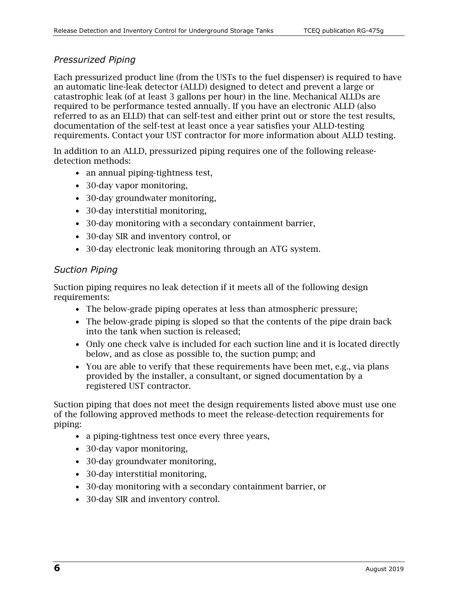### *Pressurized Piping*

Each pressurized product line (from the USTs to the fuel dispenser) is required to have an automatic line-leak detector (ALLD) designed to detect and prevent a large or catastrophic leak (of at least 3 gallons per hour) in the line. Mechanical ALLDs are required to be performance tested annually. If you have an electronic ALLD (also referred to as an ELLD) that can self‐test and either print out or store the test results, documentation of the self‐test at least once a year satisfies your ALLD-testing requirements. Contact your UST contractor for more information about ALLD testing.

In addition to an ALLD, pressurized piping requires one of the following releasedetection methods:

- an annual piping-tightness test,
- 30-day vapor monitoring,
- 30-day groundwater monitoring,
- 30-day interstitial monitoring,
- 30-day monitoring with a secondary containment barrier,
- 30-day SIR and inventory control, or
- 30-day electronic leak monitoring through an ATG system.

### *Suction Piping*

Suction piping requires no leak detection if it meets all of the following design requirements:

- The below-grade piping operates at less than atmospheric pressure;
- The below-grade piping is sloped so that the contents of the pipe drain back into the tank when suction is released;
- Only one check valve is included for each suction line and it is located directly below, and as close as possible to, the suction pump; and
- You are able to verify that these requirements have been met, e.g., via plans provided by the installer, a consultant, or signed documentation by a registered UST contractor.

Suction piping that does not meet the design requirements listed above must use one of the following approved methods to meet the release‐detection requirements for piping:

- a piping-tightness test once every three years,
- 30-day vapor monitoring,
- 30-day groundwater monitoring,
- 30-day interstitial monitoring,
- 30-day monitoring with a secondary containment barrier, or
- 30-day SIR and inventory control.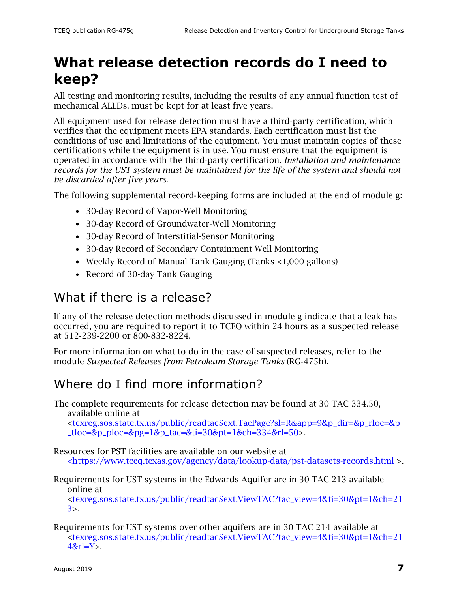# **What release detection records do I need to keep?**

All testing and monitoring results, including the results of any annual function test of mechanical ALLDs, must be kept for at least five years.

All equipment used for release detection must have a third‐party certification, which verifies that the equipment meets EPA standards. Each certification must list the conditions of use and limitations of the equipment. You must maintain copies of these certifications while the equipment is in use. You must ensure that the equipment is operated in accordance with the third‐party certification. *Installation and maintenance records for the UST system must be maintained for the life of the system and should not be discarded after five years.* 

The following supplemental record-keeping forms are included at the end of module g:

- 30-day Record of Vapor-Well Monitoring
- 30-day Record of Groundwater-Well Monitoring
- 30-day Record of Interstitial-Sensor Monitoring
- 30-day Record of Secondary Containment Well Monitoring
- Weekly Record of Manual Tank Gauging (Tanks <1,000 gallons)
- Record of 30-day Tank Gauging

### What if there is a release?

If any of the release detection methods discussed in module g indicate that a leak has occurred, you are required to report it to TCEQ within 24 hours as a suspected release at 512‐239‐2200 or 800‐832‐8224.

For more information on what to do in the case of suspected releases, refer to the module *Suspected Releases from Petroleum Storage Tanks* (RG‐475h).

# Where do I find more information?

The complete requirements for release detection may be found at 30 TAC 334.50, available online at

[<texreg.sos.state.tx.us/public/readtac\\$ext.TacPage?sl=R&app=9&p\\_dir=&p\\_rloc=&p](http://texreg.sos.state.tx.us/public/readtac$ext.TacPage?sl=R&app=9&p_dir=&p_rloc=&p_tloc=&p_ploc=&pg=1&p_tac=&ti=30&pt=1&ch=334&rl=50)  $_tloc = \&p_1boc = \&pq = 1\&p_1tac = \&ti = 30\&pt = 1\&ch = 334\&rl = 50$ .

Resources for PST facilities are available on our website at [<https://www.tceq.texas.gov/agency/data/lookup-data/pst-datasets-records.html](https://www.tceq.texas.gov/agency/data/lookup-data/pst-datasets-records.html) >.

Requirements for UST systems in the Edwards Aquifer are in 30 TAC 213 available online at

[<texreg.sos.state.tx.us/public/readtac\\$ext.ViewTAC?tac\\_view=4&ti=30&pt=1&ch=21](https://texreg.sos.state.tx.us/public/readtac$ext.ViewTAC?tac_view=4&ti=30&pt=1&ch=213) [3>](https://texreg.sos.state.tx.us/public/readtac$ext.ViewTAC?tac_view=4&ti=30&pt=1&ch=213).

Requirements for UST systems over other aquifers are in 30 TAC 214 available at [<texreg.sos.state.tx.us/public/readtac\\$ext.ViewTAC?tac\\_view=4&ti=30&pt=1&ch=21](https://texreg.sos.state.tx.us/public/readtac$ext.ViewTAC?tac_view=4&ti=30&pt=1&ch=214&rl=Y)  $48r = Y$ .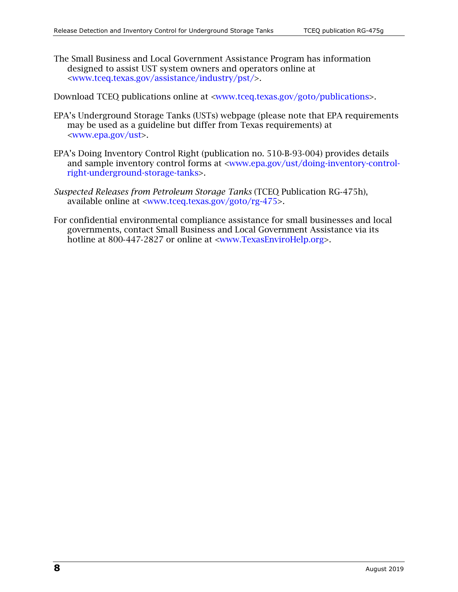The Small Business and Local Government Assistance Program has information designed to assist UST system owners and operators online at [<www.tceq.texas.gov/assistance/industry/pst/>](https://www.tceq.texas.gov/assistance/industry/pst/).

Download TCEQ publications online at [<www.tceq.texas.gov/goto/publications>](https://www.tceq.texas.gov/goto/publications).

- EPA's Underground Storage Tanks (USTs) webpage (please note that EPA requirements may be used as a guideline but differ from Texas requirements) at [<www.epa.gov/ust>](https://www.epa.gov/ust).
- EPA's Doing Inventory Control Right (publication no. 510‐B‐93‐004) provides details and sample inventory control forms at [<www.epa.gov/ust/doing-inventory-control](https://www.epa.gov/ust/doing-inventory-control-right-underground-storage-tanks)[right-underground-storage-tanks>](https://www.epa.gov/ust/doing-inventory-control-right-underground-storage-tanks).
- *Suspected Releases from Petroleum Storage Tanks* (TCEQ Publication RG‐475h), available online at [<www.tceq.texas.gov/goto/rg-475>](https://www.tceq.texas.gov/goto/rg-475).
- For confidential environmental compliance assistance for small businesses and local governments, contact Small Business and Local Government Assistance via its hotline at 800-447-2827 or online at [<www.TexasEnviroHelp.org>](https://www.tceq.texas.gov/assistance).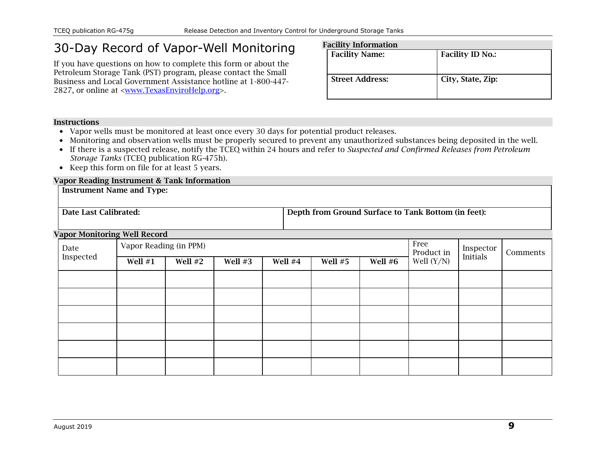# 30-Day Record of Vapor-Well Monitoring

If you have questions on how to complete this form or about the Petroleum Storage Tank (PST) program, please contact the Small Business and Local Government Assistance hotline at 1-800-447- 2827, or online at [<www.TexasEnviroHelp.org>](https://www.tceq.texas.gov/assistance).

| <b>Facility Information</b> |                         |  |  |  |  |
|-----------------------------|-------------------------|--|--|--|--|
| <b>Facility Name:</b>       | <b>Facility ID No.:</b> |  |  |  |  |
|                             |                         |  |  |  |  |
|                             |                         |  |  |  |  |
| <b>Street Address:</b>      | City, State, Zip:       |  |  |  |  |
|                             |                         |  |  |  |  |
|                             |                         |  |  |  |  |

#### **Instructions**

- Vapor wells must be monitored at least once every 30 days for potential product releases.
- Monitoring and observation wells must be properly secured to prevent any unauthorized substances being deposited in the well.
- If there is a suspected release, notify the TCEQ within 24 hours and refer to *Suspected and Confirmed Releases from Petroleum Storage Tanks* (TCEQ publication RG-475h)*.*
- Keep this form on file for at least 5 years.

### Vapor Reading Instrument & Tank Information

|                       | <b>Instrument Name and Type:</b>    |         |           |         |                                                     |         |                    |           |          |  |
|-----------------------|-------------------------------------|---------|-----------|---------|-----------------------------------------------------|---------|--------------------|-----------|----------|--|
| Date Last Calibrated: |                                     |         |           |         | Depth from Ground Surface to Tank Bottom (in feet): |         |                    |           |          |  |
|                       | <b>Vapor Monitoring Well Record</b> |         |           |         |                                                     |         |                    |           |          |  |
| Date                  | Vapor Reading (in PPM)              |         |           |         |                                                     |         | Free<br>Product in | Inspector | Comments |  |
| Inspected             | Well $#1$                           | Well #2 | Well $#3$ | Well #4 | Well $#5$                                           | Well #6 | Well $(Y/N)$       | Initials  |          |  |
|                       |                                     |         |           |         |                                                     |         |                    |           |          |  |
|                       |                                     |         |           |         |                                                     |         |                    |           |          |  |
|                       |                                     |         |           |         |                                                     |         |                    |           |          |  |
|                       |                                     |         |           |         |                                                     |         |                    |           |          |  |
|                       |                                     |         |           |         |                                                     |         |                    |           |          |  |
|                       |                                     |         |           |         |                                                     |         |                    |           |          |  |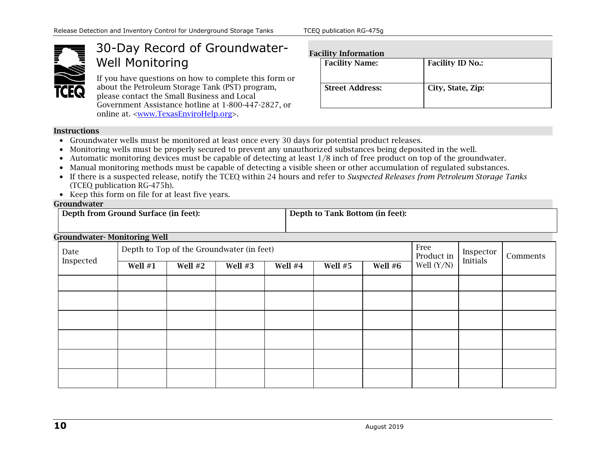

# 30-Day Record of Groundwater-Well Monitoring

If you have questions on how to complete this form or about the Petroleum Storage Tank (PST) program, please contact the Small Business and Local Government Assistance hotline at 1-800-447-2827, or online at. [<www.TexasEnviroHelp.org>](https://www.tceq.texas.gov/assistance).

### Fac

| <b>Facility Name:</b>  | <b>Facility ID No.:</b> |
|------------------------|-------------------------|
| <b>Street Address:</b> | City, State, Zip:       |

#### Instructions

- Groundwater wells must be monitored at least once every 30 days for potential product releases.
- Monitoring wells must be properly secured to prevent any unauthorized substances being deposited in the well.
- Automatic monitoring devices must be capable of detecting at least 1/8 inch of free product on top of the groundwater.
- Manual monitoring methods must be capable of detecting a visible sheen or other accumulation of regulated substances.
- If there is a suspected release, notify the TCEQ within 24 hours and refer to *Suspected Releases from Petroleum Storage Tanks* (TCEQ publication RG-475h)*.*
- Keep this form on file for at least five years.

#### Groundwater

| ----------------                     |                                 |  |  |  |  |  |  |
|--------------------------------------|---------------------------------|--|--|--|--|--|--|
| Depth from Ground Surface (in feet): | Depth to Tank Bottom (in feet): |  |  |  |  |  |  |
|                                      |                                 |  |  |  |  |  |  |

#### Groundwater- Monitoring Well

| Date<br>Inspected |           | Depth to Top of the Groundwater (in feet) | Free<br>Product in | Inspector<br>Initials | Comments |         |              |  |  |
|-------------------|-----------|-------------------------------------------|--------------------|-----------------------|----------|---------|--------------|--|--|
|                   | Well $#1$ | Well #2                                   | Well #3            | Well #4               | Well #5  | Well #6 | Well $(Y/N)$ |  |  |
|                   |           |                                           |                    |                       |          |         |              |  |  |
|                   |           |                                           |                    |                       |          |         |              |  |  |
|                   |           |                                           |                    |                       |          |         |              |  |  |
|                   |           |                                           |                    |                       |          |         |              |  |  |
|                   |           |                                           |                    |                       |          |         |              |  |  |
|                   |           |                                           |                    |                       |          |         |              |  |  |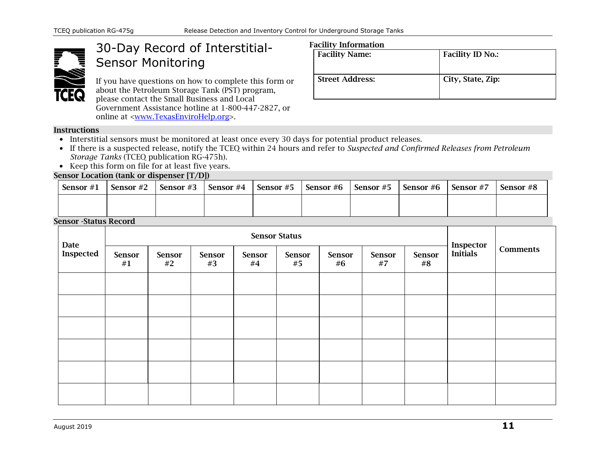

## 30-Day Record of Interstitial-Sensor Monitoring

If you have questions on how to complete this form or about the Petroleum Storage Tank (PST) program, please contact the Small Business and Local Government Assistance hotline at 1-800-447-2827, or online at [<www.TexasEnviroHelp.org>](https://www.tceq.texas.gov/assistance).

### Facility Information

| acinty modification    |                         |  |  |  |  |
|------------------------|-------------------------|--|--|--|--|
| <b>Facility Name:</b>  | <b>Facility ID No.:</b> |  |  |  |  |
| <b>Street Address:</b> | City, State, Zip:       |  |  |  |  |

#### **Instructions**

- Interstitial sensors must be monitored at least once every 30 days for potential product releases.
- If there is a suspected release, notify the TCEQ within 24 hours and refer to *Suspected and Confirmed Releases from Petroleum Storage Tanks* (TCEQ publication RG-475h)*.*
- Keep this form on file for at least five years.

#### Sensor Location (tank or dispenser [T/D])

| Sensor $#1$                                        | Sensor #2 | Sensor #3 | Sensor #4 | Sensor #5 Sensor #6 Sensor #5 | Sensor #6 | Sensor #7 | Sensor #8 |
|----------------------------------------------------|-----------|-----------|-----------|-------------------------------|-----------|-----------|-----------|
|                                                    |           |           |           |                               |           |           |           |
| $C_{\text{max}}$ $C_{\text{max}}$ $D_{\text{max}}$ |           |           |           |                               |           |           |           |

### Sensor -Status Record

| Date      | <b>Sensor Status</b> |              |              |                     |              |                     |              |                     |                              |                 |
|-----------|----------------------|--------------|--------------|---------------------|--------------|---------------------|--------------|---------------------|------------------------------|-----------------|
| Inspected | <b>Sensor</b><br>#1  | Sensor<br>#2 | Sensor<br>#3 | <b>Sensor</b><br>#4 | Sensor<br>#5 | <b>Sensor</b><br>#6 | Sensor<br>#7 | <b>Sensor</b><br>#8 | <b>Inspector</b><br>Initials | <b>Comments</b> |
|           |                      |              |              |                     |              |                     |              |                     |                              |                 |
|           |                      |              |              |                     |              |                     |              |                     |                              |                 |
|           |                      |              |              |                     |              |                     |              |                     |                              |                 |
|           |                      |              |              |                     |              |                     |              |                     |                              |                 |
|           |                      |              |              |                     |              |                     |              |                     |                              |                 |
|           |                      |              |              |                     |              |                     |              |                     |                              |                 |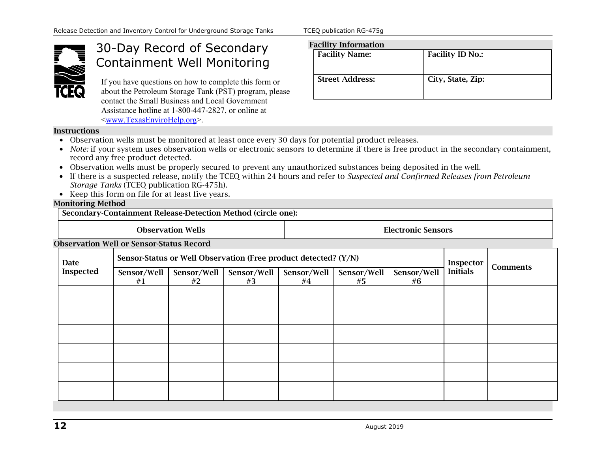

### 30-Day Record of Secondary Containment Well Monitoring

If you have questions on how to complete this form or about the Petroleum Storage Tank (PST) program, please contact the Small Business and Local Government Assistance hotline at 1-800-447-2827, or online at [<www.TexasEnviroHelp.org>](https://www.tceq.texas.gov/assistance).

### Facility Information

| <b>Facility Name:</b>  | <b>Facility ID No.:</b> |
|------------------------|-------------------------|
| <b>Street Address:</b> | City, State, Zip:       |

#### **Instructions**

- Observation wells must be monitored at least once every 30 days for potential product releases.
- *Note:* if your system uses observation wells or electronic sensors to determine if there is free product in the secondary containment, record any free product detected.
- Observation wells must be properly secured to prevent any unauthorized substances being deposited in the well.
- If there is a suspected release, notify the TCEQ within 24 hours and refer to *Suspected and Confirmed Releases from Petroleum Storage Tanks* (TCEQ publication RG-475h)*.*
- Keep this form on file for at least five years.

#### Monitoring Method

Secondary-Containment Release-Detection Method (circle one):

| $\sim$           |                                                 |                          |                                                                 |                           |                   |                   |                 |                 |  |
|------------------|-------------------------------------------------|--------------------------|-----------------------------------------------------------------|---------------------------|-------------------|-------------------|-----------------|-----------------|--|
|                  |                                                 | <b>Observation Wells</b> |                                                                 | <b>Electronic Sensors</b> |                   |                   |                 |                 |  |
|                  | <b>Observation Well or Sensor-Status Record</b> |                          |                                                                 |                           |                   |                   |                 |                 |  |
| <b>Date</b>      |                                                 |                          | Sensor-Status or Well Observation (Free product detected? (Y/N) |                           |                   | Inspector         |                 |                 |  |
| <b>Inspected</b> | Sensor/Well<br>#1                               | Sensor/Well<br>#2        | Sensor/Well<br>#3                                               | Sensor/Well<br>#4         | Sensor/Well<br>#5 | Sensor/Well<br>#6 | <b>Initials</b> | <b>Comments</b> |  |
|                  |                                                 |                          |                                                                 |                           |                   |                   |                 |                 |  |
|                  |                                                 |                          |                                                                 |                           |                   |                   |                 |                 |  |
|                  |                                                 |                          |                                                                 |                           |                   |                   |                 |                 |  |
|                  |                                                 |                          |                                                                 |                           |                   |                   |                 |                 |  |
|                  |                                                 |                          |                                                                 |                           |                   |                   |                 |                 |  |
|                  |                                                 |                          |                                                                 |                           |                   |                   |                 |                 |  |
|                  |                                                 |                          |                                                                 |                           |                   |                   |                 |                 |  |
|                  |                                                 |                          |                                                                 |                           |                   |                   |                 |                 |  |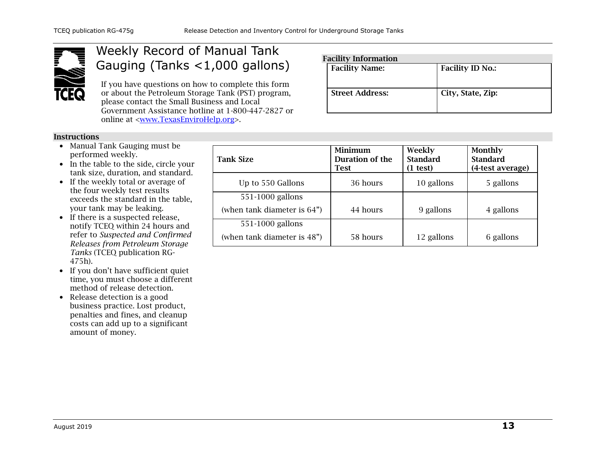

### Weekly Record of Manual Tank Gauging (Tanks <1,000 gallons)

If you have questions on how to complete this form or about the Petroleum Storage Tank (PST) program, please contact the Small Business and Local Government Assistance hotline at 1-800-447-2827 or online at [<www.TexasEnviroHelp.org>](https://www.tceq.texas.gov/assistance).

- Manual Tank Gauging must be performed weekly.
- In the table to the side, circle your tank size, duration, and standard.
- If the weekly total or average of the four weekly test results exceeds the standard in the table, your tank may be leaking.
- If there is a suspected release, notify TCEQ within 24 hours and refer to *Suspected and Confirmed Releases from Petroleum Storage Tanks* (TCEQ publication RG-475h)*.*
- If you don't have sufficient quiet time, you must choose a different method of release detection.
- Release detection is a good business practice. Lost product, penalties and fines, and cleanup costs can add up to a significant amount of money.

| <b>Tank Size</b>               | Minimum<br>Duration of the<br><b>Test</b> | Weekly<br><b>Standard</b><br>$(1$ test) | Monthly<br><b>Standard</b><br>(4-test average) |  |
|--------------------------------|-------------------------------------------|-----------------------------------------|------------------------------------------------|--|
| Up to 550 Gallons              | 36 hours                                  | 10 gallons                              | 5 gallons                                      |  |
| 551-1000 gallons               |                                           |                                         |                                                |  |
| (when tank diameter is $64"$ ) | 44 hours                                  | 9 gallons                               | 4 gallons                                      |  |
| $551-1000$ gallons             |                                           |                                         |                                                |  |
| (when tank diameter is 48")    | 58 hours                                  | 12 gallons                              | 6 gallons                                      |  |

**Facility Information**<br>**Facility Name:** Facility ID No.: Street Address: City, State, Zip: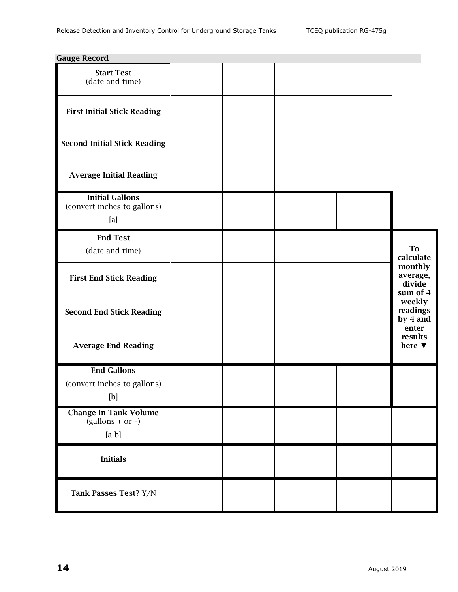| <b>Gauge Record</b>                                                                                                                                                                                                                                                                                                                                                                                                                                                                                                                                                                                                                                  |  |  |                                           |  |
|------------------------------------------------------------------------------------------------------------------------------------------------------------------------------------------------------------------------------------------------------------------------------------------------------------------------------------------------------------------------------------------------------------------------------------------------------------------------------------------------------------------------------------------------------------------------------------------------------------------------------------------------------|--|--|-------------------------------------------|--|
| <b>Start Test</b><br>(date and time)                                                                                                                                                                                                                                                                                                                                                                                                                                                                                                                                                                                                                 |  |  |                                           |  |
| <b>First Initial Stick Reading</b>                                                                                                                                                                                                                                                                                                                                                                                                                                                                                                                                                                                                                   |  |  |                                           |  |
| <b>Second Initial Stick Reading</b>                                                                                                                                                                                                                                                                                                                                                                                                                                                                                                                                                                                                                  |  |  |                                           |  |
| <b>Average Initial Reading</b>                                                                                                                                                                                                                                                                                                                                                                                                                                                                                                                                                                                                                       |  |  |                                           |  |
| <b>Initial Gallons</b><br>(convert inches to gallons)<br>[a]                                                                                                                                                                                                                                                                                                                                                                                                                                                                                                                                                                                         |  |  |                                           |  |
| <b>End Test</b><br>(date and time)                                                                                                                                                                                                                                                                                                                                                                                                                                                                                                                                                                                                                   |  |  | <b>To</b><br>calculate                    |  |
| <b>First End Stick Reading</b>                                                                                                                                                                                                                                                                                                                                                                                                                                                                                                                                                                                                                       |  |  | monthly<br>average,<br>divide<br>sum of 4 |  |
| <b>Second End Stick Reading</b>                                                                                                                                                                                                                                                                                                                                                                                                                                                                                                                                                                                                                      |  |  | weekly<br>readings<br>by 4 and<br>enter   |  |
| <b>Average End Reading</b>                                                                                                                                                                                                                                                                                                                                                                                                                                                                                                                                                                                                                           |  |  | results<br>here $\blacktriangledown$      |  |
| <b>End Gallons</b><br>(convert inches to gallons)<br>$[b] \centering% \includegraphics[width=1.0\textwidth]{figs/fig_4.pdf} \includegraphics[width=1.0\textwidth]{figs/fig_4.pdf} \includegraphics[width=1.0\textwidth]{figs/fig_4.pdf} \includegraphics[width=1.0\textwidth]{figs/fig_4.pdf} \includegraphics[width=1.0\textwidth]{figs/fig_4.pdf} \includegraphics[width=1.0\textwidth]{figs/fig_4.pdf} \includegraphics[width=1.0\textwidth]{figs/fig_4.pdf} \includegraphics[width=1.0\textwidth]{figs/fig_4.pdf} \includegraphics[width=1.0\textwidth]{figs/fig_4.pdf} \includegraphics[width=1.0\textwidth]{figs/fig_4.pdf} \includegraphics[$ |  |  |                                           |  |
| <b>Change In Tank Volume</b><br>$(gallons + or -)$<br>$[a-b]$                                                                                                                                                                                                                                                                                                                                                                                                                                                                                                                                                                                        |  |  |                                           |  |
| <b>Initials</b>                                                                                                                                                                                                                                                                                                                                                                                                                                                                                                                                                                                                                                      |  |  |                                           |  |
| Tank Passes Test? Y/N                                                                                                                                                                                                                                                                                                                                                                                                                                                                                                                                                                                                                                |  |  |                                           |  |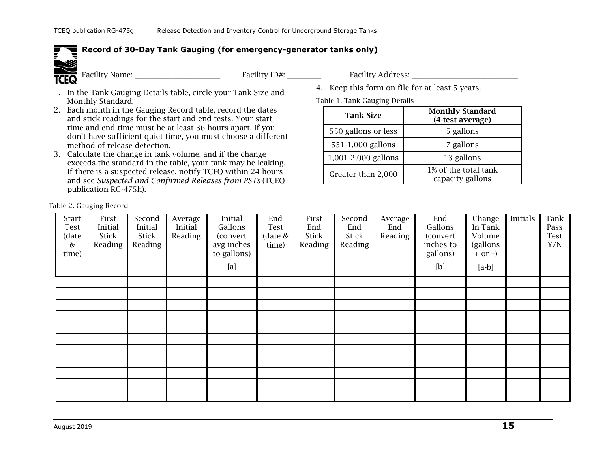### **Record of 30-Day Tank Gauging (for emergency-generator tanks only)**



Facility Name: \_\_\_\_\_\_\_\_\_\_\_\_\_\_\_\_\_\_\_\_\_\_\_\_\_ Facility ID#: \_\_\_\_\_\_\_\_\_\_ Facility Address: \_\_\_\_\_\_\_\_\_\_\_\_\_\_\_\_\_\_\_\_\_\_\_\_\_\_\_\_\_\_\_

- 1. In the Tank Gauging Details table, circle your Tank Size and Monthly Standard.
- 2. Each month in the Gauging Record table, record the dates and stick readings for the start and end tests. Your start time and end time must be at least 36 hours apart. If you don't have sufficient quiet time, you must choose a different method of release detection.
- 3. Calculate the change in tank volume, and if the change exceeds the standard in the table, your tank may be leaking. If there is a suspected release, notify TCEQ within 24 hours and see *Suspected and Confirmed Releases from PSTs* (TCEQ publication RG-475h).

4. Keep this form on file for at least 5 years.

Table 1. Tank Gauging Details

| <b>Tank Size</b>    | <b>Monthly Standard</b><br>(4-test average) |  |  |  |
|---------------------|---------------------------------------------|--|--|--|
| 550 gallons or less | 5 gallons                                   |  |  |  |
| 551-1,000 gallons   | 7 gallons                                   |  |  |  |
| 1,001-2,000 gallons | 13 gallons                                  |  |  |  |
| Greater than 2,000  | 1% of the total tank<br>capacity gallons    |  |  |  |

Table 2. Gauging Record

| Start<br>Test<br>(date<br>$\&$<br>time) | First<br>Initial<br><b>Stick</b><br>Reading | Second<br>Initial<br>Stick<br>Reading | Average<br>Initial<br>Reading | Initial<br>Gallons<br>(convert)<br>avg inches<br>to gallons)<br>[a] | End<br>Test<br>date &<br>time) | First<br>End<br><b>Stick</b><br>Reading | Second<br>End<br><b>Stick</b><br>Reading | Average<br>End<br>Reading | End<br>Gallons<br>(convert<br>inches to<br>gallons)<br>[b] | Change<br>In Tank<br>Volume<br>(gallons<br>$+$ or $-$ )<br>$[a-b]$ | Initials | Tank<br>Pass<br>Test<br>Y/N |
|-----------------------------------------|---------------------------------------------|---------------------------------------|-------------------------------|---------------------------------------------------------------------|--------------------------------|-----------------------------------------|------------------------------------------|---------------------------|------------------------------------------------------------|--------------------------------------------------------------------|----------|-----------------------------|
|                                         |                                             |                                       |                               |                                                                     |                                |                                         |                                          |                           |                                                            |                                                                    |          |                             |
|                                         |                                             |                                       |                               |                                                                     |                                |                                         |                                          |                           |                                                            |                                                                    |          |                             |
|                                         |                                             |                                       |                               |                                                                     |                                |                                         |                                          |                           |                                                            |                                                                    |          |                             |
|                                         |                                             |                                       |                               |                                                                     |                                |                                         |                                          |                           |                                                            |                                                                    |          |                             |
|                                         |                                             |                                       |                               |                                                                     |                                |                                         |                                          |                           |                                                            |                                                                    |          |                             |
|                                         |                                             |                                       |                               |                                                                     |                                |                                         |                                          |                           |                                                            |                                                                    |          |                             |
|                                         |                                             |                                       |                               |                                                                     |                                |                                         |                                          |                           |                                                            |                                                                    |          |                             |
|                                         |                                             |                                       |                               |                                                                     |                                |                                         |                                          |                           |                                                            |                                                                    |          |                             |
|                                         |                                             |                                       |                               |                                                                     |                                |                                         |                                          |                           |                                                            |                                                                    |          |                             |
|                                         |                                             |                                       |                               |                                                                     |                                |                                         |                                          |                           |                                                            |                                                                    |          |                             |
|                                         |                                             |                                       |                               |                                                                     |                                |                                         |                                          |                           |                                                            |                                                                    |          |                             |